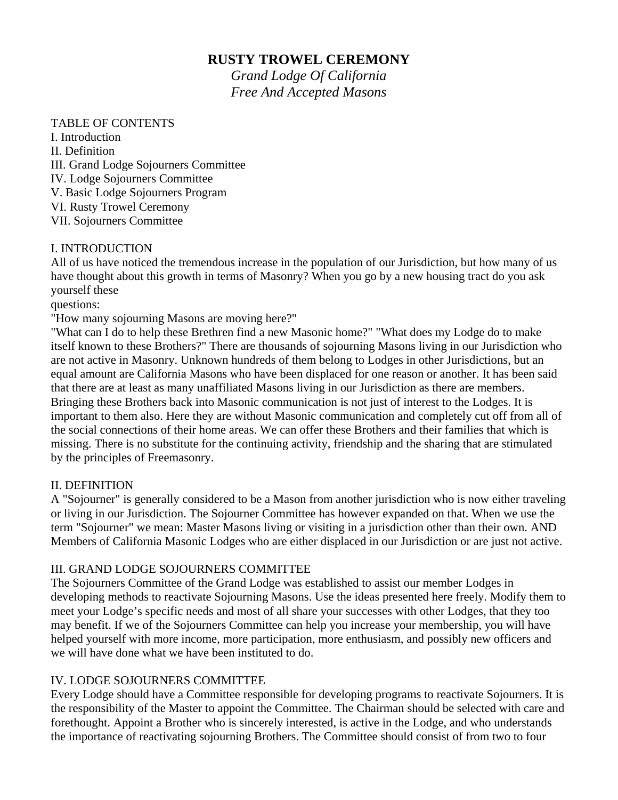# **RUSTY TROWEL CEREMONY**

*Grand Lodge Of California Free And Accepted Masons* 

### TABLE OF CONTENTS

I. Introduction II. Definition III. Grand Lodge Sojourners Committee IV. Lodge Sojourners Committee V. Basic Lodge Sojourners Program VI. Rusty Trowel Ceremony VII. Sojourners Committee

### I. INTRODUCTION

All of us have noticed the tremendous increase in the population of our Jurisdiction, but how many of us have thought about this growth in terms of Masonry? When you go by a new housing tract do you ask yourself these

questions:

"How many sojourning Masons are moving here?"

"What can I do to help these Brethren find a new Masonic home?" "What does my Lodge do to make itself known to these Brothers?" There are thousands of sojourning Masons living in our Jurisdiction who are not active in Masonry. Unknown hundreds of them belong to Lodges in other Jurisdictions, but an equal amount are California Masons who have been displaced for one reason or another. It has been said that there are at least as many unaffiliated Masons living in our Jurisdiction as there are members. Bringing these Brothers back into Masonic communication is not just of interest to the Lodges. It is important to them also. Here they are without Masonic communication and completely cut off from all of the social connections of their home areas. We can offer these Brothers and their families that which is missing. There is no substitute for the continuing activity, friendship and the sharing that are stimulated by the principles of Freemasonry.

### II. DEFINITION

A "Sojourner" is generally considered to be a Mason from another jurisdiction who is now either traveling or living in our Jurisdiction. The Sojourner Committee has however expanded on that. When we use the term "Sojourner" we mean: Master Masons living or visiting in a jurisdiction other than their own. AND Members of California Masonic Lodges who are either displaced in our Jurisdiction or are just not active.

### III. GRAND LODGE SOJOURNERS COMMITTEE

The Sojourners Committee of the Grand Lodge was established to assist our member Lodges in developing methods to reactivate Sojourning Masons. Use the ideas presented here freely. Modify them to meet your Lodge's specific needs and most of all share your successes with other Lodges, that they too may benefit. If we of the Sojourners Committee can help you increase your membership, you will have helped yourself with more income, more participation, more enthusiasm, and possibly new officers and we will have done what we have been instituted to do.

## IV. LODGE SOJOURNERS COMMITTEE

Every Lodge should have a Committee responsible for developing programs to reactivate Sojourners. It is the responsibility of the Master to appoint the Committee. The Chairman should be selected with care and forethought. Appoint a Brother who is sincerely interested, is active in the Lodge, and who understands the importance of reactivating sojourning Brothers. The Committee should consist of from two to four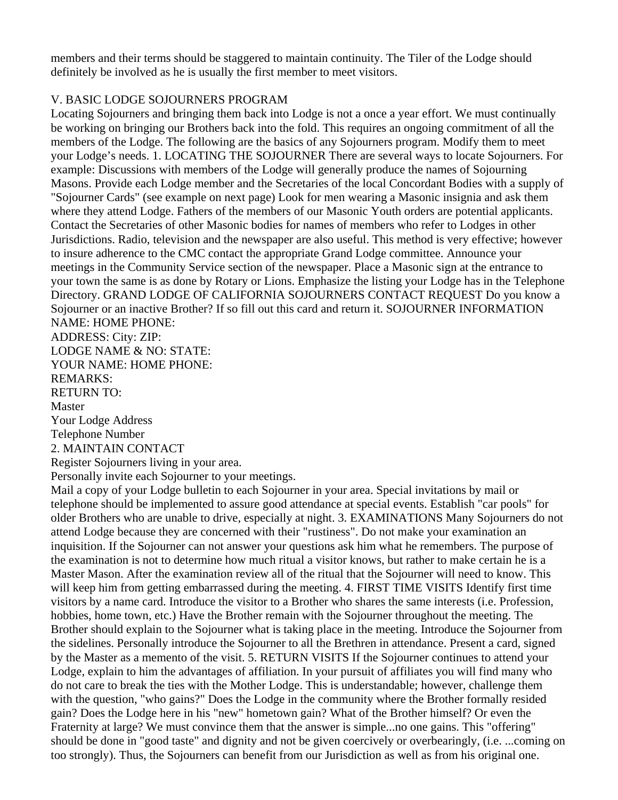members and their terms should be staggered to maintain continuity. The Tiler of the Lodge should definitely be involved as he is usually the first member to meet visitors.

# V. BASIC LODGE SOJOURNERS PROGRAM

Locating Sojourners and bringing them back into Lodge is not a once a year effort. We must continually be working on bringing our Brothers back into the fold. This requires an ongoing commitment of all the members of the Lodge. The following are the basics of any Sojourners program. Modify them to meet your Lodge's needs. 1. LOCATING THE SOJOURNER There are several ways to locate Sojourners. For example: Discussions with members of the Lodge will generally produce the names of Sojourning Masons. Provide each Lodge member and the Secretaries of the local Concordant Bodies with a supply of "Sojourner Cards" (see example on next page) Look for men wearing a Masonic insignia and ask them where they attend Lodge. Fathers of the members of our Masonic Youth orders are potential applicants. Contact the Secretaries of other Masonic bodies for names of members who refer to Lodges in other Jurisdictions. Radio, television and the newspaper are also useful. This method is very effective; however to insure adherence to the CMC contact the appropriate Grand Lodge committee. Announce your meetings in the Community Service section of the newspaper. Place a Masonic sign at the entrance to your town the same is as done by Rotary or Lions. Emphasize the listing your Lodge has in the Telephone Directory. GRAND LODGE OF CALIFORNIA SOJOURNERS CONTACT REQUEST Do you know a Sojourner or an inactive Brother? If so fill out this card and return it. SOJOURNER INFORMATION NAME: HOME PHONE:

ADDRESS: City: ZIP:

LODGE NAME & NO: STATE:

YOUR NAME: HOME PHONE:

REMARKS:

RETURN TO:

Master

Your Lodge Address

Telephone Number

2. MAINTAIN CONTACT

Register Sojourners living in your area.

Personally invite each Sojourner to your meetings.

Mail a copy of your Lodge bulletin to each Sojourner in your area. Special invitations by mail or telephone should be implemented to assure good attendance at special events. Establish "car pools" for older Brothers who are unable to drive, especially at night. 3. EXAMINATIONS Many Sojourners do not attend Lodge because they are concerned with their "rustiness". Do not make your examination an inquisition. If the Sojourner can not answer your questions ask him what he remembers. The purpose of the examination is not to determine how much ritual a visitor knows, but rather to make certain he is a Master Mason. After the examination review all of the ritual that the Sojourner will need to know. This will keep him from getting embarrassed during the meeting. 4. FIRST TIME VISITS Identify first time visitors by a name card. Introduce the visitor to a Brother who shares the same interests (i.e. Profession, hobbies, home town, etc.) Have the Brother remain with the Sojourner throughout the meeting. The Brother should explain to the Sojourner what is taking place in the meeting. Introduce the Sojourner from the sidelines. Personally introduce the Sojourner to all the Brethren in attendance. Present a card, signed by the Master as a memento of the visit. 5. RETURN VISITS If the Sojourner continues to attend your Lodge, explain to him the advantages of affiliation. In your pursuit of affiliates you will find many who do not care to break the ties with the Mother Lodge. This is understandable; however, challenge them with the question, "who gains?" Does the Lodge in the community where the Brother formally resided gain? Does the Lodge here in his "new" hometown gain? What of the Brother himself? Or even the Fraternity at large? We must convince them that the answer is simple...no one gains. This "offering" should be done in "good taste" and dignity and not be given coercively or overbearingly, (i.e. ...coming on too strongly). Thus, the Sojourners can benefit from our Jurisdiction as well as from his original one.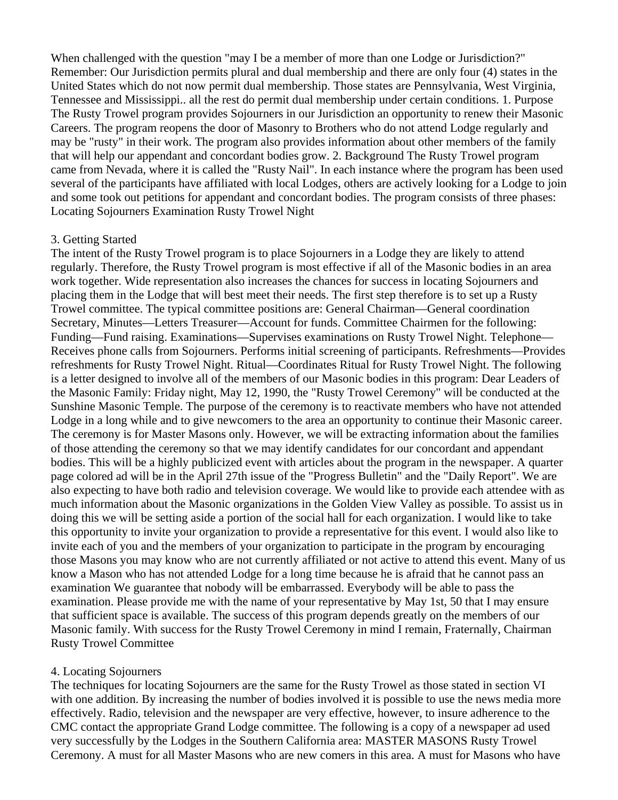When challenged with the question "may I be a member of more than one Lodge or Jurisdiction?" Remember: Our Jurisdiction permits plural and dual membership and there are only four (4) states in the United States which do not now permit dual membership. Those states are Pennsylvania, West Virginia, Tennessee and Mississippi.. all the rest do permit dual membership under certain conditions. 1. Purpose The Rusty Trowel program provides Sojourners in our Jurisdiction an opportunity to renew their Masonic Careers. The program reopens the door of Masonry to Brothers who do not attend Lodge regularly and may be "rusty" in their work. The program also provides information about other members of the family that will help our appendant and concordant bodies grow. 2. Background The Rusty Trowel program came from Nevada, where it is called the "Rusty Nail". In each instance where the program has been used several of the participants have affiliated with local Lodges, others are actively looking for a Lodge to join and some took out petitions for appendant and concordant bodies. The program consists of three phases: Locating Sojourners Examination Rusty Trowel Night

#### 3. Getting Started

The intent of the Rusty Trowel program is to place Sojourners in a Lodge they are likely to attend regularly. Therefore, the Rusty Trowel program is most effective if all of the Masonic bodies in an area work together. Wide representation also increases the chances for success in locating Sojourners and placing them in the Lodge that will best meet their needs. The first step therefore is to set up a Rusty Trowel committee. The typical committee positions are: General Chairman—General coordination Secretary, Minutes—Letters Treasurer—Account for funds. Committee Chairmen for the following: Funding—Fund raising. Examinations—Supervises examinations on Rusty Trowel Night. Telephone— Receives phone calls from Sojourners. Performs initial screening of participants. Refreshments—Provides refreshments for Rusty Trowel Night. Ritual—Coordinates Ritual for Rusty Trowel Night. The following is a letter designed to involve all of the members of our Masonic bodies in this program: Dear Leaders of the Masonic Family: Friday night, May 12, 1990, the "Rusty Trowel Ceremony" will be conducted at the Sunshine Masonic Temple. The purpose of the ceremony is to reactivate members who have not attended Lodge in a long while and to give newcomers to the area an opportunity to continue their Masonic career. The ceremony is for Master Masons only. However, we will be extracting information about the families of those attending the ceremony so that we may identify candidates for our concordant and appendant bodies. This will be a highly publicized event with articles about the program in the newspaper. A quarter page colored ad will be in the April 27th issue of the "Progress Bulletin" and the "Daily Report". We are also expecting to have both radio and television coverage. We would like to provide each attendee with as much information about the Masonic organizations in the Golden View Valley as possible. To assist us in doing this we will be setting aside a portion of the social hall for each organization. I would like to take this opportunity to invite your organization to provide a representative for this event. I would also like to invite each of you and the members of your organization to participate in the program by encouraging those Masons you may know who are not currently affiliated or not active to attend this event. Many of us know a Mason who has not attended Lodge for a long time because he is afraid that he cannot pass an examination We guarantee that nobody will be embarrassed. Everybody will be able to pass the examination. Please provide me with the name of your representative by May 1st, 50 that I may ensure that sufficient space is available. The success of this program depends greatly on the members of our Masonic family. With success for the Rusty Trowel Ceremony in mind I remain, Fraternally, Chairman Rusty Trowel Committee

### 4. Locating Sojourners

The techniques for locating Sojourners are the same for the Rusty Trowel as those stated in section VI with one addition. By increasing the number of bodies involved it is possible to use the news media more effectively. Radio, television and the newspaper are very effective, however, to insure adherence to the CMC contact the appropriate Grand Lodge committee. The following is a copy of a newspaper ad used very successfully by the Lodges in the Southern California area: MASTER MASONS Rusty Trowel Ceremony. A must for all Master Masons who are new comers in this area. A must for Masons who have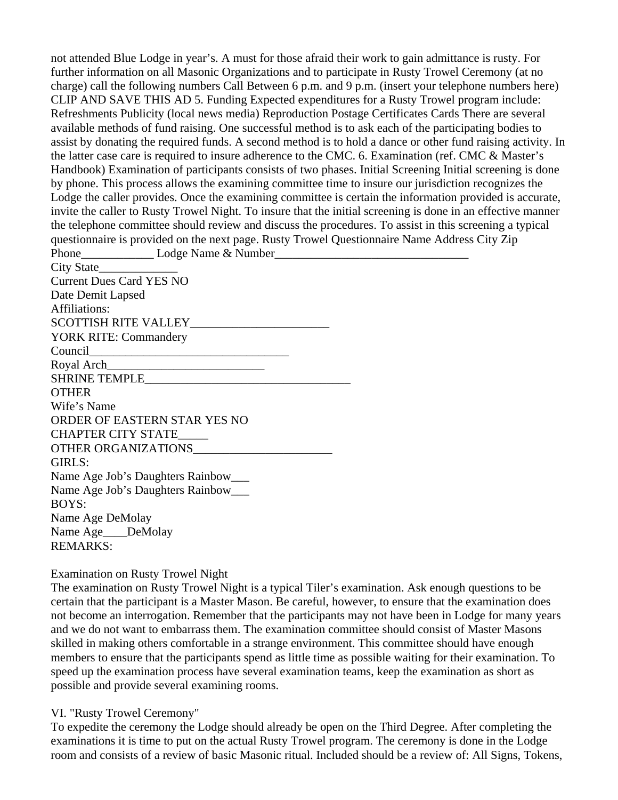not attended Blue Lodge in year's. A must for those afraid their work to gain admittance is rusty. For further information on all Masonic Organizations and to participate in Rusty Trowel Ceremony (at no charge) call the following numbers Call Between 6 p.m. and 9 p.m. (insert your telephone numbers here) CLIP AND SAVE THIS AD 5. Funding Expected expenditures for a Rusty Trowel program include: Refreshments Publicity (local news media) Reproduction Postage Certificates Cards There are several available methods of fund raising. One successful method is to ask each of the participating bodies to assist by donating the required funds. A second method is to hold a dance or other fund raising activity. In the latter case care is required to insure adherence to the CMC. 6. Examination (ref. CMC & Master's Handbook) Examination of participants consists of two phases. Initial Screening Initial screening is done by phone. This process allows the examining committee time to insure our jurisdiction recognizes the Lodge the caller provides. Once the examining committee is certain the information provided is accurate, invite the caller to Rusty Trowel Night. To insure that the initial screening is done in an effective manner the telephone committee should review and discuss the procedures. To assist in this screening a typical questionnaire is provided on the next page. Rusty Trowel Questionnaire Name Address City Zip Phone\_\_\_\_\_\_\_\_\_\_\_\_\_\_\_\_\_\_\_\_\_ Lodge Name & Number\_\_\_\_\_\_\_\_\_\_\_\_\_\_\_\_\_\_\_\_\_\_\_\_\_\_\_\_\_\_\_\_\_\_ City State Current Dues Card YES NO Date Demit Lapsed Affiliations: SCOTTISH RITE VALLEY\_\_\_\_\_\_\_\_\_\_\_\_\_\_\_\_\_\_\_\_\_\_\_

YORK RITE: Commandery Council Royal Arch SHRINE TEMPLE **OTHER** Wife's Name ORDER OF EASTERN STAR YES NO

CHAPTER CITY STATE\_\_\_\_\_ OTHER ORGANIZATIONS\_\_\_\_\_\_\_\_\_\_\_\_\_\_\_\_\_\_\_\_\_\_\_ GIRLS: Name Age Job's Daughters Rainbow\_\_\_ Name Age Job's Daughters Rainbow\_\_\_ BOYS: Name Age DeMolay

Name Age DeMolay REMARKS:

### Examination on Rusty Trowel Night

The examination on Rusty Trowel Night is a typical Tiler's examination. Ask enough questions to be certain that the participant is a Master Mason. Be careful, however, to ensure that the examination does not become an interrogation. Remember that the participants may not have been in Lodge for many years and we do not want to embarrass them. The examination committee should consist of Master Masons skilled in making others comfortable in a strange environment. This committee should have enough members to ensure that the participants spend as little time as possible waiting for their examination. To speed up the examination process have several examination teams, keep the examination as short as possible and provide several examining rooms.

## VI. "Rusty Trowel Ceremony"

To expedite the ceremony the Lodge should already be open on the Third Degree. After completing the examinations it is time to put on the actual Rusty Trowel program. The ceremony is done in the Lodge room and consists of a review of basic Masonic ritual. Included should be a review of: All Signs, Tokens,